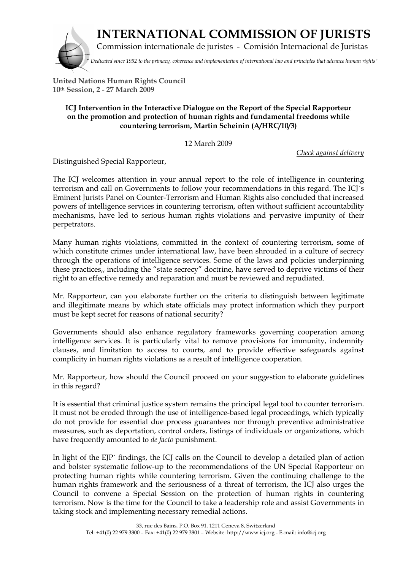

 **INTERNATIONAL COMMISSION OF JURISTS**

Commission internationale de juristes - Comisión Internacional de Juristas

*" Dedicated since 1952 to the primacy, coherence and implementation of international law and principles that advance human rights"*

**United Nations Human Rights Council 10th Session, 2 - 27 March 2009**

## **ICJ Intervention in the Interactive Dialogue on the Report of the Special Rapporteur on the promotion and protection of human rights and fundamental freedoms while countering terrorism, Martin Scheinin (A/HRC/10/3)**

12 March 2009

*Check against delivery*

Distinguished Special Rapporteur,

The ICJ welcomes attention in your annual report to the role of intelligence in countering terrorism and call on Governments to follow your recommendations in this regard. The ICJ´s Eminent Jurists Panel on Counter-Terrorism and Human Rights also concluded that increased powers of intelligence services in countering terrorism, often without sufficient accountability mechanisms, have led to serious human rights violations and pervasive impunity of their perpetrators.

Many human rights violations, committed in the context of countering terrorism, some of which constitute crimes under international law, have been shrouded in a culture of secrecy through the operations of intelligence services. Some of the laws and policies underpinning these practices,, including the "state secrecy" doctrine, have served to deprive victims of their right to an effective remedy and reparation and must be reviewed and repudiated.

Mr. Rapporteur, can you elaborate further on the criteria to distinguish between legitimate and illegitimate means by which state officials may protect information which they purport must be kept secret for reasons of national security?

Governments should also enhance regulatory frameworks governing cooperation among intelligence services. It is particularly vital to remove provisions for immunity, indemnity clauses, and limitation to access to courts, and to provide effective safeguards against complicity in human rights violations as a result of intelligence cooperation.

Mr. Rapporteur, how should the Council proceed on your suggestion to elaborate guidelines in this regard?

It is essential that criminal justice system remains the principal legal tool to counter terrorism. It must not be eroded through the use of intelligence-based legal proceedings, which typically do not provide for essential due process guarantees nor through preventive administrative measures, such as deportation, control orders, listings of individuals or organizations, which have frequently amounted to *de facto* punishment.

In light of the EJP´ findings, the ICJ calls on the Council to develop a detailed plan of action and bolster systematic follow-up to the recommendations of the UN Special Rapporteur on protecting human rights while countering terrorism. Given the continuing challenge to the human rights framework and the seriousness of a threat of terrorism, the ICJ also urges the Council to convene a Special Session on the protection of human rights in countering terrorism. Now is the time for the Council to take a leadership role and assist Governments in taking stock and implementing necessary remedial actions.